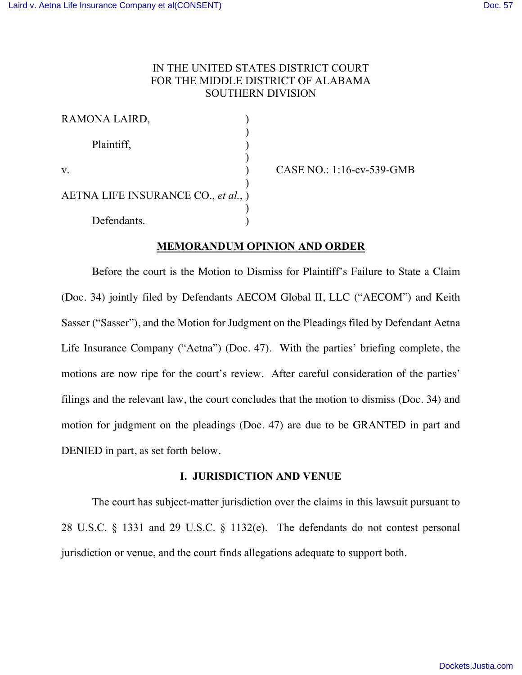# IN THE UNITED STATES DISTRICT COURT FOR THE MIDDLE DISTRICT OF ALABAMA SOUTHERN DIVISION

| RAMONA LAIRD,                       |  |
|-------------------------------------|--|
| Plaintiff,                          |  |
| V.                                  |  |
| AETNA LIFE INSURANCE CO., et al., ) |  |
| Defendants.                         |  |

v. ) CASE NO.: 1:16-cv-539-GMB

## **MEMORANDUM OPINION AND ORDER**

Before the court is the Motion to Dismiss for Plaintiff's Failure to State a Claim (Doc. 34) jointly filed by Defendants AECOM Global II, LLC ("AECOM") and Keith Sasser ("Sasser"), and the Motion for Judgment on the Pleadings filed by Defendant Aetna Life Insurance Company ("Aetna") (Doc. 47). With the parties' briefing complete, the motions are now ripe for the court's review. After careful consideration of the parties' filings and the relevant law, the court concludes that the motion to dismiss (Doc. 34) and motion for judgment on the pleadings (Doc. 47) are due to be GRANTED in part and DENIED in part, as set forth below.

## **I. JURISDICTION AND VENUE**

The court has subject-matter jurisdiction over the claims in this lawsuit pursuant to 28 U.S.C. § 1331 and 29 U.S.C. § 1132(e). The defendants do not contest personal jurisdiction or venue, and the court finds allegations adequate to support both.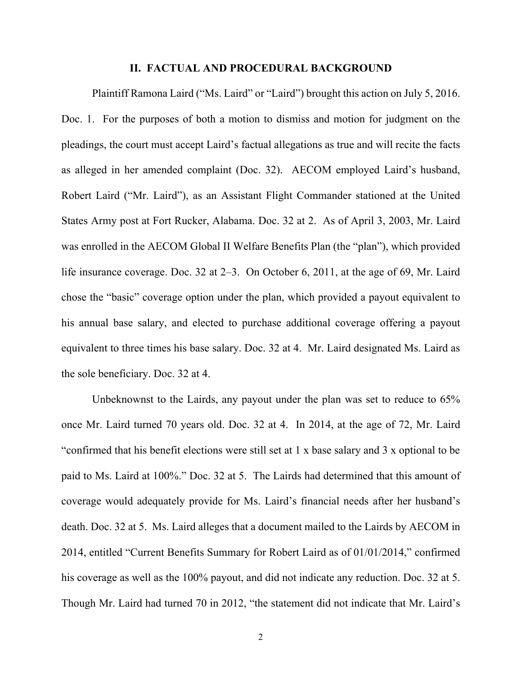#### **II. FACTUAL AND PROCEDURAL BACKGROUND**

Plaintiff Ramona Laird ("Ms. Laird" or "Laird") brought this action on July 5, 2016. Doc. 1. For the purposes of both a motion to dismiss and motion for judgment on the pleadings, the court must accept Laird's factual allegations as true and will recite the facts as alleged in her amended complaint (Doc. 32). AECOM employed Laird's husband, Robert Laird ("Mr. Laird"), as an Assistant Flight Commander stationed at the United States Army post at Fort Rucker, Alabama. Doc. 32 at 2. As of April 3, 2003, Mr. Laird was enrolled in the AECOM Global II Welfare Benefits Plan (the "plan"), which provided life insurance coverage. Doc. 32 at 2–3. On October 6, 2011, at the age of 69, Mr. Laird chose the "basic" coverage option under the plan, which provided a payout equivalent to his annual base salary, and elected to purchase additional coverage offering a payout equivalent to three times his base salary. Doc. 32 at 4. Mr. Laird designated Ms. Laird as the sole beneficiary. Doc. 32 at 4.

Unbeknownst to the Lairds, any payout under the plan was set to reduce to 65% once Mr. Laird turned 70 years old. Doc. 32 at 4. In 2014, at the age of 72, Mr. Laird "confirmed that his benefit elections were still set at 1 x base salary and 3 x optional to be paid to Ms. Laird at 100%." Doc. 32 at 5. The Lairds had determined that this amount of coverage would adequately provide for Ms. Laird's financial needs after her husband's death. Doc. 32 at 5. Ms. Laird alleges that a document mailed to the Lairds by AECOM in 2014, entitled "Current Benefits Summary for Robert Laird as of 01/01/2014," confirmed his coverage as well as the 100% payout, and did not indicate any reduction. Doc. 32 at 5. Though Mr. Laird had turned 70 in 2012, "the statement did not indicate that Mr. Laird's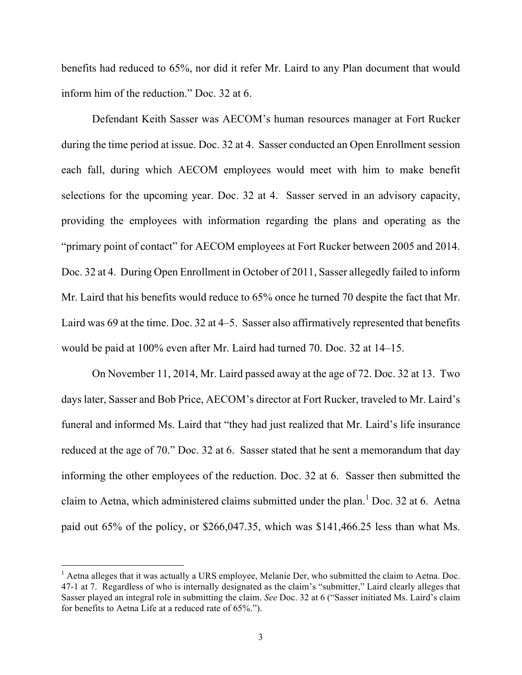benefits had reduced to 65%, nor did it refer Mr. Laird to any Plan document that would inform him of the reduction." Doc. 32 at 6.

Defendant Keith Sasser was AECOM's human resources manager at Fort Rucker during the time period at issue. Doc. 32 at 4. Sasser conducted an Open Enrollment session each fall, during which AECOM employees would meet with him to make benefit selections for the upcoming year. Doc. 32 at 4. Sasser served in an advisory capacity, providing the employees with information regarding the plans and operating as the "primary point of contact" for AECOM employees at Fort Rucker between 2005 and 2014. Doc. 32 at 4. During Open Enrollment in October of 2011, Sasser allegedly failed to inform Mr. Laird that his benefits would reduce to 65% once he turned 70 despite the fact that Mr. Laird was 69 at the time. Doc. 32 at 4–5. Sasser also affirmatively represented that benefits would be paid at 100% even after Mr. Laird had turned 70. Doc. 32 at 14–15.

On November 11, 2014, Mr. Laird passed away at the age of 72. Doc. 32 at 13. Two days later, Sasser and Bob Price, AECOM's director at Fort Rucker, traveled to Mr. Laird's funeral and informed Ms. Laird that "they had just realized that Mr. Laird's life insurance reduced at the age of 70." Doc. 32 at 6. Sasser stated that he sent a memorandum that day informing the other employees of the reduction. Doc. 32 at 6. Sasser then submitted the claim to Aetna, which administered claims submitted under the plan.<sup>1</sup> Doc. 32 at 6. Aetna paid out 65% of the policy, or \$266,047.35, which was \$141,466.25 less than what Ms.

 $<sup>1</sup>$  Aetna alleges that it was actually a URS employee, Melanie Der, who submitted the claim to Aetna. Doc.</sup> 47-1 at 7. Regardless of who is internally designated as the claim's "submitter," Laird clearly alleges that Sasser played an integral role in submitting the claim. *See* Doc. 32 at 6 ("Sasser initiated Ms. Laird's claim for benefits to Aetna Life at a reduced rate of 65%.").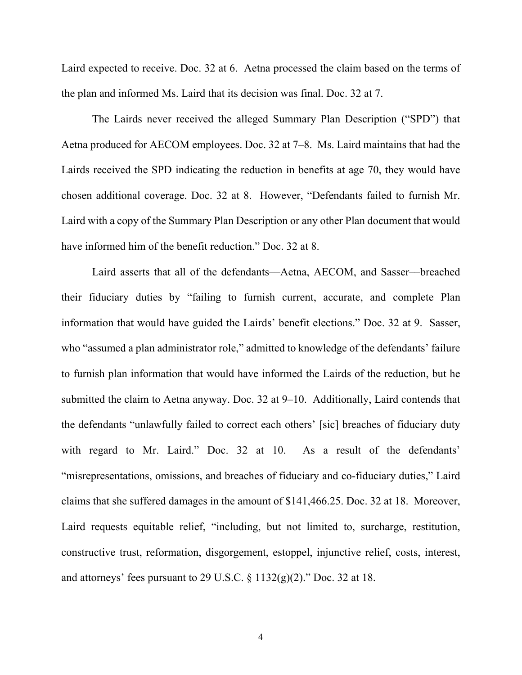Laird expected to receive. Doc. 32 at 6. Aetna processed the claim based on the terms of the plan and informed Ms. Laird that its decision was final. Doc. 32 at 7.

The Lairds never received the alleged Summary Plan Description ("SPD") that Aetna produced for AECOM employees. Doc. 32 at 7–8. Ms. Laird maintains that had the Lairds received the SPD indicating the reduction in benefits at age 70, they would have chosen additional coverage. Doc. 32 at 8. However, "Defendants failed to furnish Mr. Laird with a copy of the Summary Plan Description or any other Plan document that would have informed him of the benefit reduction." Doc. 32 at 8.

Laird asserts that all of the defendants––Aetna, AECOM, and Sasser––breached their fiduciary duties by "failing to furnish current, accurate, and complete Plan information that would have guided the Lairds' benefit elections." Doc. 32 at 9. Sasser, who "assumed a plan administrator role," admitted to knowledge of the defendants' failure to furnish plan information that would have informed the Lairds of the reduction, but he submitted the claim to Aetna anyway. Doc. 32 at 9–10. Additionally, Laird contends that the defendants "unlawfully failed to correct each others' [sic] breaches of fiduciary duty with regard to Mr. Laird." Doc. 32 at 10. As a result of the defendants' "misrepresentations, omissions, and breaches of fiduciary and co-fiduciary duties," Laird claims that she suffered damages in the amount of \$141,466.25. Doc. 32 at 18. Moreover, Laird requests equitable relief, "including, but not limited to, surcharge, restitution, constructive trust, reformation, disgorgement, estoppel, injunctive relief, costs, interest, and attorneys' fees pursuant to 29 U.S.C.  $\S 1132(g)(2)$ ." Doc. 32 at 18.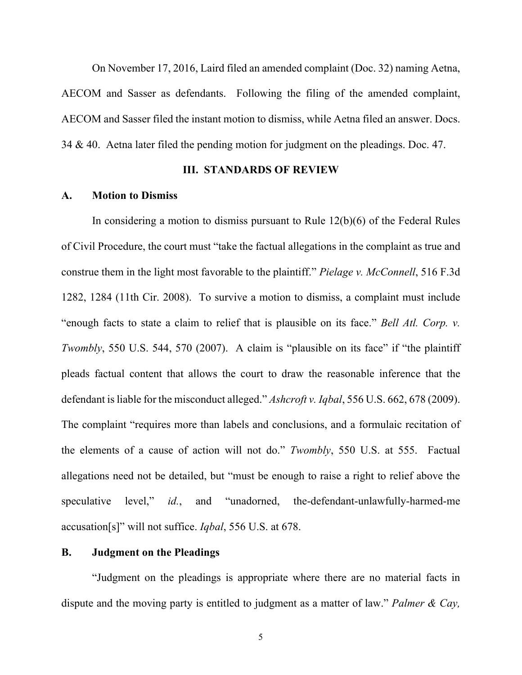On November 17, 2016, Laird filed an amended complaint (Doc. 32) naming Aetna, AECOM and Sasser as defendants. Following the filing of the amended complaint, AECOM and Sasser filed the instant motion to dismiss, while Aetna filed an answer. Docs. 34 & 40. Aetna later filed the pending motion for judgment on the pleadings. Doc. 47.

### **III. STANDARDS OF REVIEW**

### **A. Motion to Dismiss**

In considering a motion to dismiss pursuant to Rule 12(b)(6) of the Federal Rules of Civil Procedure, the court must "take the factual allegations in the complaint as true and construe them in the light most favorable to the plaintiff." *Pielage v. McConnell*, 516 F.3d 1282, 1284 (11th Cir. 2008). To survive a motion to dismiss, a complaint must include "enough facts to state a claim to relief that is plausible on its face." *Bell Atl. Corp. v. Twombly*, 550 U.S. 544, 570 (2007). A claim is "plausible on its face" if "the plaintiff pleads factual content that allows the court to draw the reasonable inference that the defendant is liable for the misconduct alleged." *Ashcroft v. Iqbal*, 556 U.S. 662, 678 (2009). The complaint "requires more than labels and conclusions, and a formulaic recitation of the elements of a cause of action will not do." *Twombly*, 550 U.S. at 555. Factual allegations need not be detailed, but "must be enough to raise a right to relief above the speculative level," *id.*, and "unadorned, the-defendant-unlawfully-harmed-me accusation[s]" will not suffice. *Iqbal*, 556 U.S. at 678.

### **B. Judgment on the Pleadings**

"Judgment on the pleadings is appropriate where there are no material facts in dispute and the moving party is entitled to judgment as a matter of law." *Palmer & Cay,*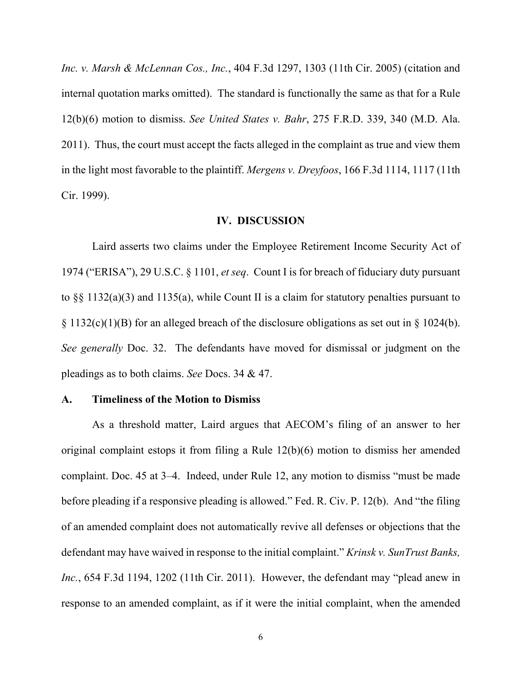*Inc. v. Marsh & McLennan Cos., Inc.*, 404 F.3d 1297, 1303 (11th Cir. 2005) (citation and internal quotation marks omitted). The standard is functionally the same as that for a Rule 12(b)(6) motion to dismiss. *See United States v. Bahr*, 275 F.R.D. 339, 340 (M.D. Ala. 2011). Thus, the court must accept the facts alleged in the complaint as true and view them in the light most favorable to the plaintiff. *Mergens v. Dreyfoos*, 166 F.3d 1114, 1117 (11th Cir. 1999).

## **IV. DISCUSSION**

Laird asserts two claims under the Employee Retirement Income Security Act of 1974 ("ERISA"), 29 U.S.C. § 1101, *et seq*. Count I is for breach of fiduciary duty pursuant to §§ 1132(a)(3) and 1135(a), while Count II is a claim for statutory penalties pursuant to  $\S 1132(c)(1)(B)$  for an alleged breach of the disclosure obligations as set out in  $\S 1024(b)$ . *See generally* Doc. 32. The defendants have moved for dismissal or judgment on the pleadings as to both claims. *See* Docs. 34 & 47.

#### **A. Timeliness of the Motion to Dismiss**

As a threshold matter, Laird argues that AECOM's filing of an answer to her original complaint estops it from filing a Rule 12(b)(6) motion to dismiss her amended complaint. Doc. 45 at 3–4. Indeed, under Rule 12, any motion to dismiss "must be made before pleading if a responsive pleading is allowed." Fed. R. Civ. P. 12(b). And "the filing of an amended complaint does not automatically revive all defenses or objections that the defendant may have waived in response to the initial complaint." *Krinsk v. SunTrust Banks, Inc.*, 654 F.3d 1194, 1202 (11th Cir. 2011). However, the defendant may "plead anew in response to an amended complaint, as if it were the initial complaint, when the amended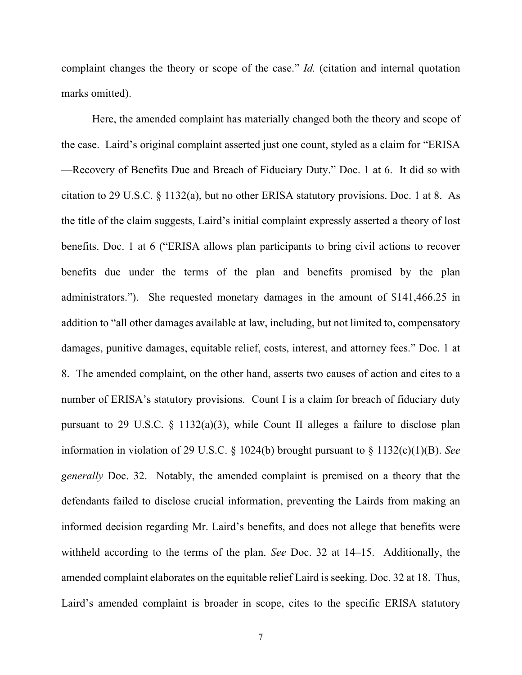complaint changes the theory or scope of the case." *Id.* (citation and internal quotation marks omitted).

Here, the amended complaint has materially changed both the theory and scope of the case. Laird's original complaint asserted just one count, styled as a claim for "ERISA —Recovery of Benefits Due and Breach of Fiduciary Duty." Doc. 1 at 6. It did so with citation to 29 U.S.C. § 1132(a), but no other ERISA statutory provisions. Doc. 1 at 8. As the title of the claim suggests, Laird's initial complaint expressly asserted a theory of lost benefits. Doc. 1 at 6 ("ERISA allows plan participants to bring civil actions to recover benefits due under the terms of the plan and benefits promised by the plan administrators."). She requested monetary damages in the amount of \$141,466.25 in addition to "all other damages available at law, including, but not limited to, compensatory damages, punitive damages, equitable relief, costs, interest, and attorney fees." Doc. 1 at 8. The amended complaint, on the other hand, asserts two causes of action and cites to a number of ERISA's statutory provisions. Count I is a claim for breach of fiduciary duty pursuant to 29 U.S.C.  $\S$  1132(a)(3), while Count II alleges a failure to disclose plan information in violation of 29 U.S.C. § 1024(b) brought pursuant to § 1132(c)(1)(B). *See generally* Doc. 32. Notably, the amended complaint is premised on a theory that the defendants failed to disclose crucial information, preventing the Lairds from making an informed decision regarding Mr. Laird's benefits, and does not allege that benefits were withheld according to the terms of the plan. *See* Doc. 32 at 14–15. Additionally, the amended complaint elaborates on the equitable relief Laird is seeking. Doc. 32 at 18. Thus, Laird's amended complaint is broader in scope, cites to the specific ERISA statutory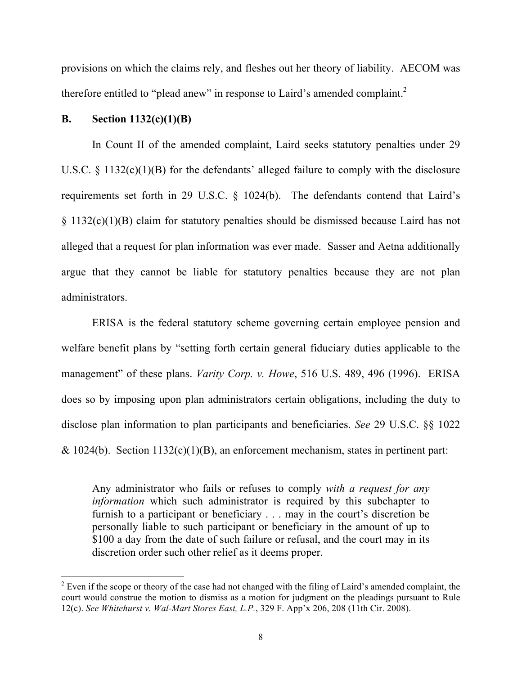provisions on which the claims rely, and fleshes out her theory of liability. AECOM was therefore entitled to "plead anew" in response to Laird's amended complaint.<sup>2</sup>

## **B. Section 1132(c)(1)(B)**

In Count II of the amended complaint, Laird seeks statutory penalties under 29 U.S.C. § 1132(c)(1)(B) for the defendants' alleged failure to comply with the disclosure requirements set forth in 29 U.S.C. § 1024(b). The defendants contend that Laird's § 1132(c)(1)(B) claim for statutory penalties should be dismissed because Laird has not alleged that a request for plan information was ever made. Sasser and Aetna additionally argue that they cannot be liable for statutory penalties because they are not plan administrators.

ERISA is the federal statutory scheme governing certain employee pension and welfare benefit plans by "setting forth certain general fiduciary duties applicable to the management" of these plans. *Varity Corp. v. Howe*, 516 U.S. 489, 496 (1996). ERISA does so by imposing upon plan administrators certain obligations, including the duty to disclose plan information to plan participants and beneficiaries. *See* 29 U.S.C. §§ 1022  $& 1024(b)$ . Section 1132(c)(1)(B), an enforcement mechanism, states in pertinent part:

Any administrator who fails or refuses to comply *with a request for any information* which such administrator is required by this subchapter to furnish to a participant or beneficiary . . . may in the court's discretion be personally liable to such participant or beneficiary in the amount of up to \$100 a day from the date of such failure or refusal, and the court may in its discretion order such other relief as it deems proper.

 $2$  Even if the scope or theory of the case had not changed with the filing of Laird's amended complaint, the court would construe the motion to dismiss as a motion for judgment on the pleadings pursuant to Rule 12(c). *See Whitehurst v. Wal-Mart Stores East, L.P.*, 329 F. App'x 206, 208 (11th Cir. 2008).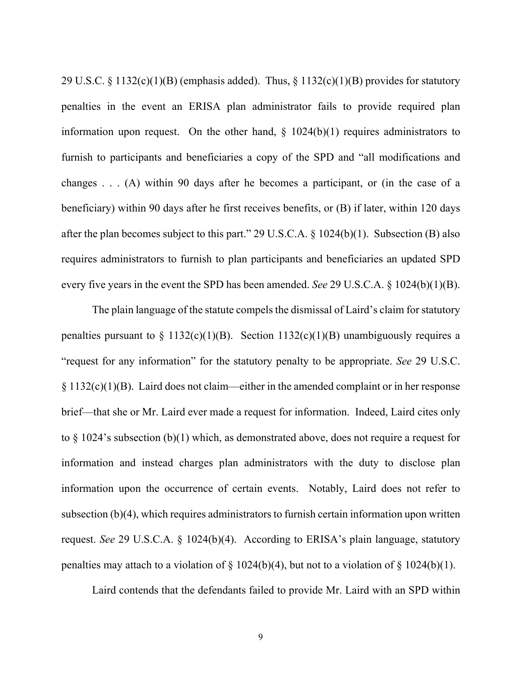29 U.S.C. § 1132(c)(1)(B) (emphasis added). Thus, § 1132(c)(1)(B) provides for statutory penalties in the event an ERISA plan administrator fails to provide required plan information upon request. On the other hand,  $\S$  1024(b)(1) requires administrators to furnish to participants and beneficiaries a copy of the SPD and "all modifications and changes . . . (A) within 90 days after he becomes a participant, or (in the case of a beneficiary) within 90 days after he first receives benefits, or (B) if later, within 120 days after the plan becomes subject to this part." 29 U.S.C.A. § 1024(b)(1). Subsection (B) also requires administrators to furnish to plan participants and beneficiaries an updated SPD every five years in the event the SPD has been amended. *See* 29 U.S.C.A. § 1024(b)(1)(B).

The plain language of the statute compels the dismissal of Laird's claim for statutory penalties pursuant to  $\S$  1132(c)(1)(B). Section 1132(c)(1)(B) unambiguously requires a "request for any information" for the statutory penalty to be appropriate. *See* 29 U.S.C. § 1132(c)(1)(B). Laird does not claim––either in the amended complaint or in her response brief––that she or Mr. Laird ever made a request for information. Indeed, Laird cites only to § 1024's subsection (b)(1) which, as demonstrated above, does not require a request for information and instead charges plan administrators with the duty to disclose plan information upon the occurrence of certain events. Notably, Laird does not refer to subsection (b)(4), which requires administrators to furnish certain information upon written request. *See* 29 U.S.C.A. § 1024(b)(4). According to ERISA's plain language, statutory penalties may attach to a violation of  $\S$  1024(b)(4), but not to a violation of  $\S$  1024(b)(1).

Laird contends that the defendants failed to provide Mr. Laird with an SPD within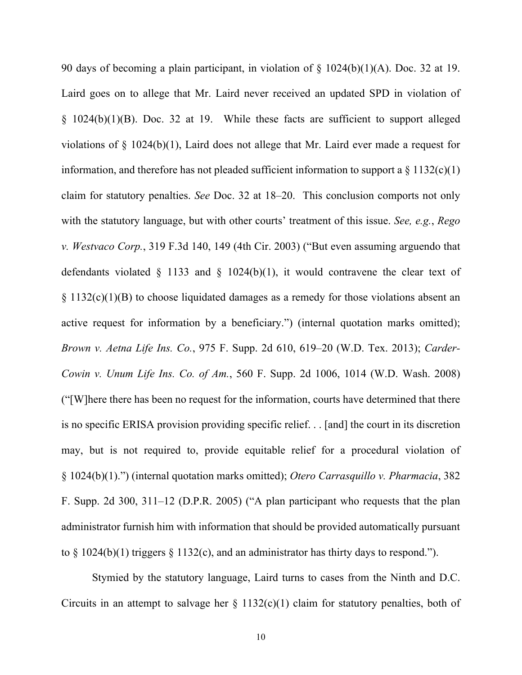90 days of becoming a plain participant, in violation of § 1024(b)(1)(A). Doc. 32 at 19. Laird goes on to allege that Mr. Laird never received an updated SPD in violation of § 1024(b)(1)(B). Doc. 32 at 19. While these facts are sufficient to support alleged violations of § 1024(b)(1), Laird does not allege that Mr. Laird ever made a request for information, and therefore has not pleaded sufficient information to support a  $\S 1132(c)(1)$ claim for statutory penalties. *See* Doc. 32 at 18–20. This conclusion comports not only with the statutory language, but with other courts' treatment of this issue. *See, e.g.*, *Rego v. Westvaco Corp.*, 319 F.3d 140, 149 (4th Cir. 2003) ("But even assuming arguendo that defendants violated  $\S$  1133 and  $\S$  1024(b)(1), it would contravene the clear text of § 1132(c)(1)(B) to choose liquidated damages as a remedy for those violations absent an active request for information by a beneficiary.") (internal quotation marks omitted); *Brown v. Aetna Life Ins. Co.*, 975 F. Supp. 2d 610, 619–20 (W.D. Tex. 2013); *Carder-Cowin v. Unum Life Ins. Co. of Am.*, 560 F. Supp. 2d 1006, 1014 (W.D. Wash. 2008) ("[W]here there has been no request for the information, courts have determined that there is no specific ERISA provision providing specific relief. . . [and] the court in its discretion may, but is not required to, provide equitable relief for a procedural violation of § 1024(b)(1).") (internal quotation marks omitted); *Otero Carrasquillo v. Pharmacia*, 382 F. Supp. 2d 300, 311–12 (D.P.R. 2005) ("A plan participant who requests that the plan administrator furnish him with information that should be provided automatically pursuant to  $\S$  1024(b)(1) triggers  $\S$  1132(c), and an administrator has thirty days to respond.").

Stymied by the statutory language, Laird turns to cases from the Ninth and D.C. Circuits in an attempt to salvage her  $\S$  1132(c)(1) claim for statutory penalties, both of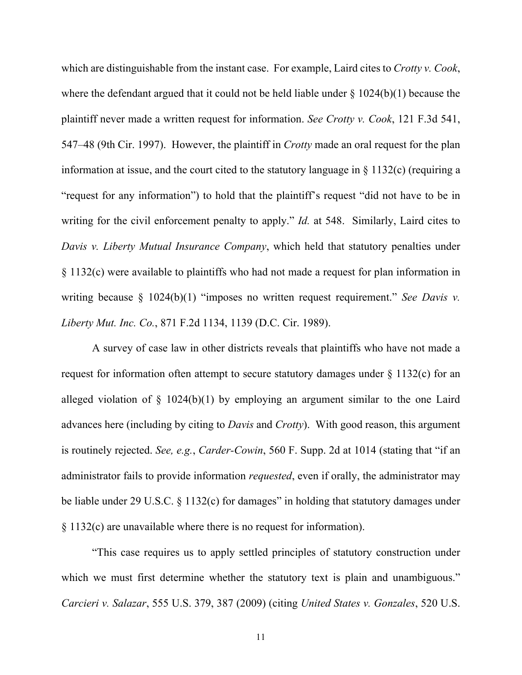which are distinguishable from the instant case. For example, Laird cites to *Crotty v. Cook*, where the defendant argued that it could not be held liable under  $\S$  1024(b)(1) because the plaintiff never made a written request for information. *See Crotty v. Cook*, 121 F.3d 541, 547–48 (9th Cir. 1997). However, the plaintiff in *Crotty* made an oral request for the plan information at issue, and the court cited to the statutory language in § 1132(c) (requiring a "request for any information") to hold that the plaintiff's request "did not have to be in writing for the civil enforcement penalty to apply." *Id.* at 548. Similarly, Laird cites to *Davis v. Liberty Mutual Insurance Company*, which held that statutory penalties under § 1132(c) were available to plaintiffs who had not made a request for plan information in writing because § 1024(b)(1) "imposes no written request requirement." *See Davis v. Liberty Mut. Inc. Co.*, 871 F.2d 1134, 1139 (D.C. Cir. 1989).

A survey of case law in other districts reveals that plaintiffs who have not made a request for information often attempt to secure statutory damages under § 1132(c) for an alleged violation of  $\S$  1024(b)(1) by employing an argument similar to the one Laird advances here (including by citing to *Davis* and *Crotty*). With good reason, this argument is routinely rejected. *See, e.g.*, *Carder-Cowin*, 560 F. Supp. 2d at 1014 (stating that "if an administrator fails to provide information *requested*, even if orally, the administrator may be liable under 29 U.S.C. § 1132(c) for damages" in holding that statutory damages under § 1132(c) are unavailable where there is no request for information).

"This case requires us to apply settled principles of statutory construction under which we must first determine whether the statutory text is plain and unambiguous." *Carcieri v. Salazar*, 555 U.S. 379, 387 (2009) (citing *United States v. Gonzales*, 520 U.S.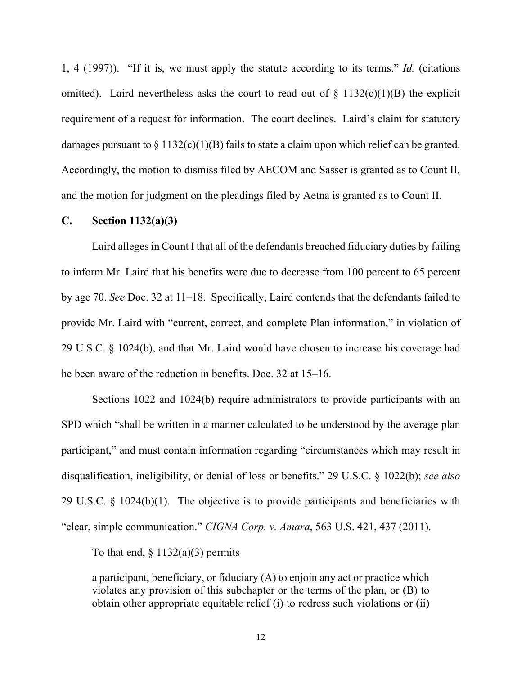1, 4 (1997)). "If it is, we must apply the statute according to its terms." *Id.* (citations omitted). Laird nevertheless asks the court to read out of  $\S$  1132(c)(1)(B) the explicit requirement of a request for information. The court declines. Laird's claim for statutory damages pursuant to  $\S 1132(c)(1)(B)$  fails to state a claim upon which relief can be granted. Accordingly, the motion to dismiss filed by AECOM and Sasser is granted as to Count II, and the motion for judgment on the pleadings filed by Aetna is granted as to Count II.

## **C. Section 1132(a)(3)**

Laird alleges in Count I that all of the defendants breached fiduciary duties by failing to inform Mr. Laird that his benefits were due to decrease from 100 percent to 65 percent by age 70. *See* Doc. 32 at 11–18. Specifically, Laird contends that the defendants failed to provide Mr. Laird with "current, correct, and complete Plan information," in violation of 29 U.S.C. § 1024(b), and that Mr. Laird would have chosen to increase his coverage had he been aware of the reduction in benefits. Doc. 32 at 15–16.

Sections 1022 and 1024(b) require administrators to provide participants with an SPD which "shall be written in a manner calculated to be understood by the average plan participant," and must contain information regarding "circumstances which may result in disqualification, ineligibility, or denial of loss or benefits." 29 U.S.C. § 1022(b); *see also* 29 U.S.C. § 1024(b)(1). The objective is to provide participants and beneficiaries with "clear, simple communication." *CIGNA Corp. v. Amara*, 563 U.S. 421, 437 (2011).

To that end,  $\S 1132(a)(3)$  permits

a participant, beneficiary, or fiduciary (A) to enjoin any act or practice which violates any provision of this subchapter or the terms of the plan, or (B) to obtain other appropriate equitable relief (i) to redress such violations or (ii)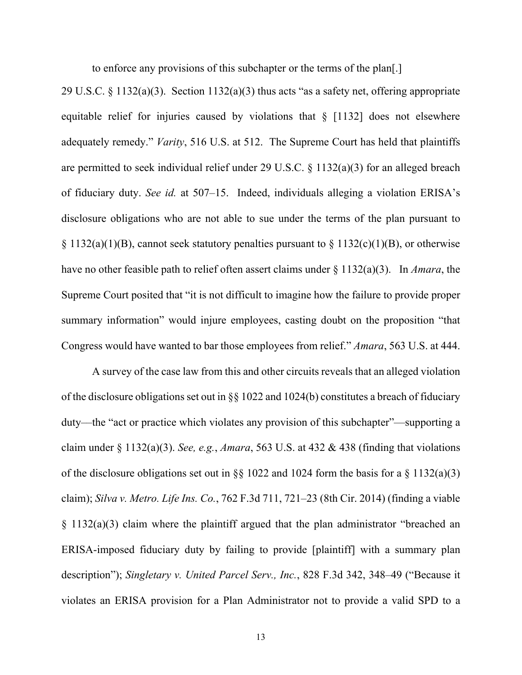to enforce any provisions of this subchapter or the terms of the plan[.]

29 U.S.C. § 1132(a)(3). Section 1132(a)(3) thus acts "as a safety net, offering appropriate equitable relief for injuries caused by violations that  $\S$  [1132] does not elsewhere adequately remedy." *Varity*, 516 U.S. at 512. The Supreme Court has held that plaintiffs are permitted to seek individual relief under 29 U.S.C. § 1132(a)(3) for an alleged breach of fiduciary duty. *See id.* at 507–15. Indeed, individuals alleging a violation ERISA's disclosure obligations who are not able to sue under the terms of the plan pursuant to  $\S 1132(a)(1)(B)$ , cannot seek statutory penalties pursuant to  $\S 1132(c)(1)(B)$ , or otherwise have no other feasible path to relief often assert claims under § 1132(a)(3). In *Amara*, the Supreme Court posited that "it is not difficult to imagine how the failure to provide proper summary information" would injure employees, casting doubt on the proposition "that Congress would have wanted to bar those employees from relief." *Amara*, 563 U.S. at 444.

A survey of the case law from this and other circuits reveals that an alleged violation of the disclosure obligations set out in §§ 1022 and 1024(b) constitutes a breach of fiduciary duty––the "act or practice which violates any provision of this subchapter"––supporting a claim under § 1132(a)(3). *See, e.g.*, *Amara*, 563 U.S. at 432 & 438 (finding that violations of the disclosure obligations set out in §§ 1022 and 1024 form the basis for a § 1132(a)(3) claim); *Silva v. Metro. Life Ins. Co.*, 762 F.3d 711, 721–23 (8th Cir. 2014) (finding a viable § 1132(a)(3) claim where the plaintiff argued that the plan administrator "breached an ERISA-imposed fiduciary duty by failing to provide [plaintiff] with a summary plan description"); *Singletary v. United Parcel Serv., Inc.*, 828 F.3d 342, 348–49 ("Because it violates an ERISA provision for a Plan Administrator not to provide a valid SPD to a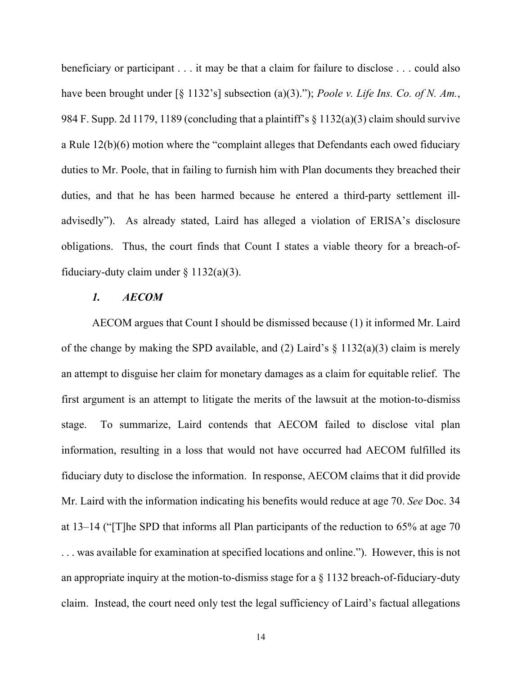beneficiary or participant . . . it may be that a claim for failure to disclose . . . could also have been brought under [§ 1132's] subsection (a)(3)."); *Poole v. Life Ins. Co. of N. Am.*, 984 F. Supp. 2d 1179, 1189 (concluding that a plaintiff's § 1132(a)(3) claim should survive a Rule 12(b)(6) motion where the "complaint alleges that Defendants each owed fiduciary duties to Mr. Poole, that in failing to furnish him with Plan documents they breached their duties, and that he has been harmed because he entered a third-party settlement illadvisedly"). As already stated, Laird has alleged a violation of ERISA's disclosure obligations. Thus, the court finds that Count I states a viable theory for a breach-offiduciary-duty claim under  $\S$  1132(a)(3).

# *1. AECOM*

AECOM argues that Count I should be dismissed because (1) it informed Mr. Laird of the change by making the SPD available, and (2) Laird's  $\S$  1132(a)(3) claim is merely an attempt to disguise her claim for monetary damages as a claim for equitable relief. The first argument is an attempt to litigate the merits of the lawsuit at the motion-to-dismiss stage. To summarize, Laird contends that AECOM failed to disclose vital plan information, resulting in a loss that would not have occurred had AECOM fulfilled its fiduciary duty to disclose the information. In response, AECOM claims that it did provide Mr. Laird with the information indicating his benefits would reduce at age 70. *See* Doc. 34 at 13–14 ("[T]he SPD that informs all Plan participants of the reduction to 65% at age 70 . . . was available for examination at specified locations and online."). However, this is not an appropriate inquiry at the motion-to-dismiss stage for a  $\S$  1132 breach-of-fiduciary-duty claim. Instead, the court need only test the legal sufficiency of Laird's factual allegations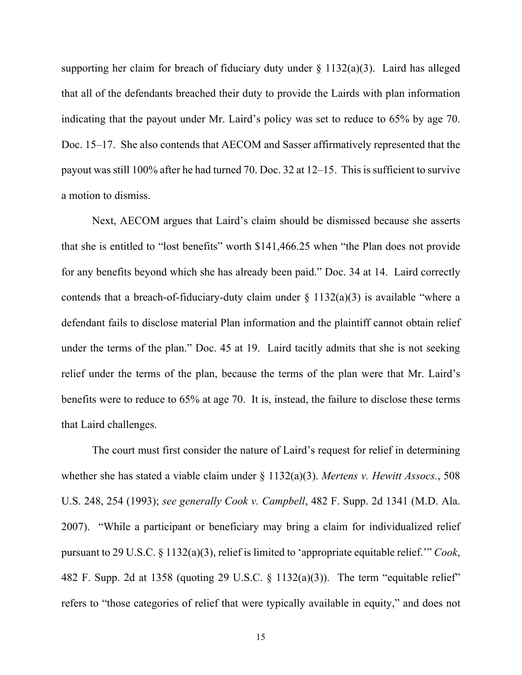supporting her claim for breach of fiduciary duty under  $\S$  1132(a)(3). Laird has alleged that all of the defendants breached their duty to provide the Lairds with plan information indicating that the payout under Mr. Laird's policy was set to reduce to 65% by age 70. Doc. 15–17. She also contends that AECOM and Sasser affirmatively represented that the payout was still 100% after he had turned 70. Doc. 32 at 12–15. This is sufficient to survive a motion to dismiss.

Next, AECOM argues that Laird's claim should be dismissed because she asserts that she is entitled to "lost benefits" worth \$141,466.25 when "the Plan does not provide for any benefits beyond which she has already been paid." Doc. 34 at 14. Laird correctly contends that a breach-of-fiduciary-duty claim under  $\S$  1132(a)(3) is available "where a defendant fails to disclose material Plan information and the plaintiff cannot obtain relief under the terms of the plan." Doc. 45 at 19. Laird tacitly admits that she is not seeking relief under the terms of the plan, because the terms of the plan were that Mr. Laird's benefits were to reduce to 65% at age 70. It is, instead, the failure to disclose these terms that Laird challenges.

The court must first consider the nature of Laird's request for relief in determining whether she has stated a viable claim under § 1132(a)(3). *Mertens v. Hewitt Assocs.*, 508 U.S. 248, 254 (1993); *see generally Cook v. Campbell*, 482 F. Supp. 2d 1341 (M.D. Ala. 2007). "While a participant or beneficiary may bring a claim for individualized relief pursuant to 29 U.S.C. § 1132(a)(3), relief is limited to 'appropriate equitable relief.'" *Cook*, 482 F. Supp. 2d at 1358 (quoting 29 U.S.C.  $\S$  1132(a)(3)). The term "equitable relief" refers to "those categories of relief that were typically available in equity," and does not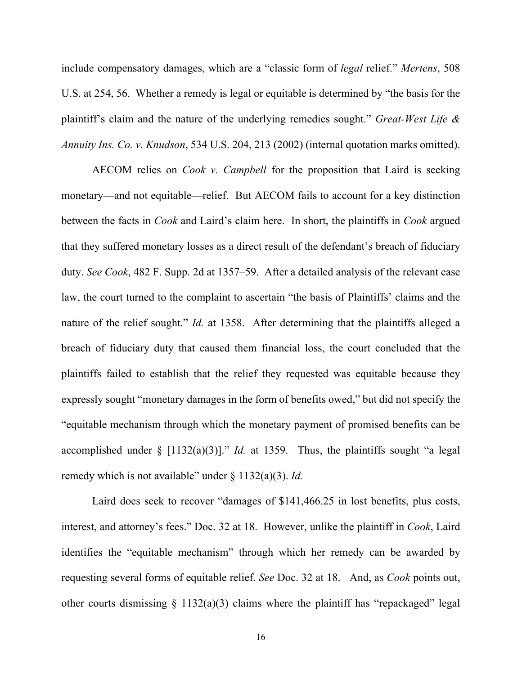include compensatory damages, which are a "classic form of *legal* relief." *Mertens*, 508 U.S. at 254, 56. Whether a remedy is legal or equitable is determined by "the basis for the plaintiff's claim and the nature of the underlying remedies sought." *Great-West Life & Annuity Ins. Co. v. Knudson*, 534 U.S. 204, 213 (2002) (internal quotation marks omitted).

AECOM relies on *Cook v. Campbell* for the proposition that Laird is seeking monetary––and not equitable––relief. But AECOM fails to account for a key distinction between the facts in *Cook* and Laird's claim here. In short, the plaintiffs in *Cook* argued that they suffered monetary losses as a direct result of the defendant's breach of fiduciary duty. *See Cook*, 482 F. Supp. 2d at 1357–59. After a detailed analysis of the relevant case law, the court turned to the complaint to ascertain "the basis of Plaintiffs' claims and the nature of the relief sought." *Id.* at 1358. After determining that the plaintiffs alleged a breach of fiduciary duty that caused them financial loss, the court concluded that the plaintiffs failed to establish that the relief they requested was equitable because they expressly sought "monetary damages in the form of benefits owed," but did not specify the "equitable mechanism through which the monetary payment of promised benefits can be accomplished under  $\S$  [1132(a)(3)]." *Id.* at 1359. Thus, the plaintiffs sought "a legal remedy which is not available" under § 1132(a)(3). *Id.*

Laird does seek to recover "damages of \$141,466.25 in lost benefits, plus costs, interest, and attorney's fees." Doc. 32 at 18. However, unlike the plaintiff in *Cook*, Laird identifies the "equitable mechanism" through which her remedy can be awarded by requesting several forms of equitable relief. *See* Doc. 32 at 18. And, as *Cook* points out, other courts dismissing  $\S$  1132(a)(3) claims where the plaintiff has "repackaged" legal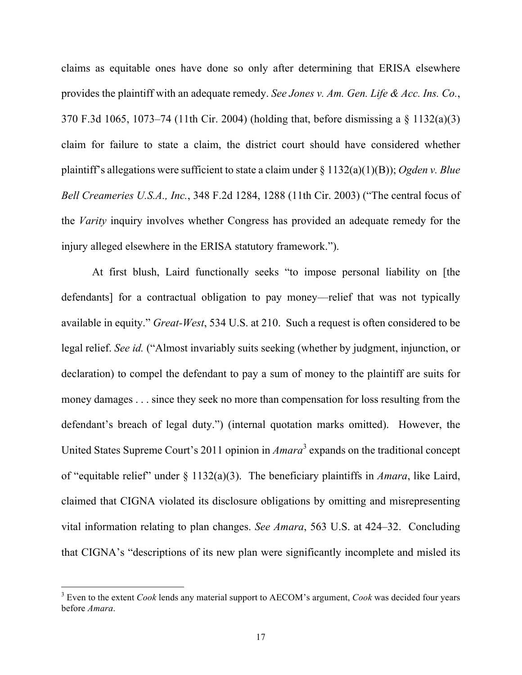claims as equitable ones have done so only after determining that ERISA elsewhere provides the plaintiff with an adequate remedy. *See Jones v. Am. Gen. Life & Acc. Ins. Co.*, 370 F.3d 1065, 1073–74 (11th Cir. 2004) (holding that, before dismissing a § 1132(a)(3) claim for failure to state a claim, the district court should have considered whether plaintiff's allegations were sufficient to state a claim under § 1132(a)(1)(B)); *Ogden v. Blue Bell Creameries U.S.A., Inc.*, 348 F.2d 1284, 1288 (11th Cir. 2003) ("The central focus of the *Varity* inquiry involves whether Congress has provided an adequate remedy for the injury alleged elsewhere in the ERISA statutory framework.").

At first blush, Laird functionally seeks "to impose personal liability on [the defendants] for a contractual obligation to pay money––relief that was not typically available in equity." *Great-West*, 534 U.S. at 210. Such a request is often considered to be legal relief. *See id.* ("Almost invariably suits seeking (whether by judgment, injunction, or declaration) to compel the defendant to pay a sum of money to the plaintiff are suits for money damages . . . since they seek no more than compensation for loss resulting from the defendant's breach of legal duty.") (internal quotation marks omitted). However, the United States Supreme Court's 2011 opinion in *Amara*<sup>3</sup> expands on the traditional concept of "equitable relief" under § 1132(a)(3). The beneficiary plaintiffs in *Amara*, like Laird, claimed that CIGNA violated its disclosure obligations by omitting and misrepresenting vital information relating to plan changes. *See Amara*, 563 U.S. at 424–32. Concluding that CIGNA's "descriptions of its new plan were significantly incomplete and misled its

 <sup>3</sup> Even to the extent *Cook* lends any material support to AECOM's argument, *Cook* was decided four years before *Amara*.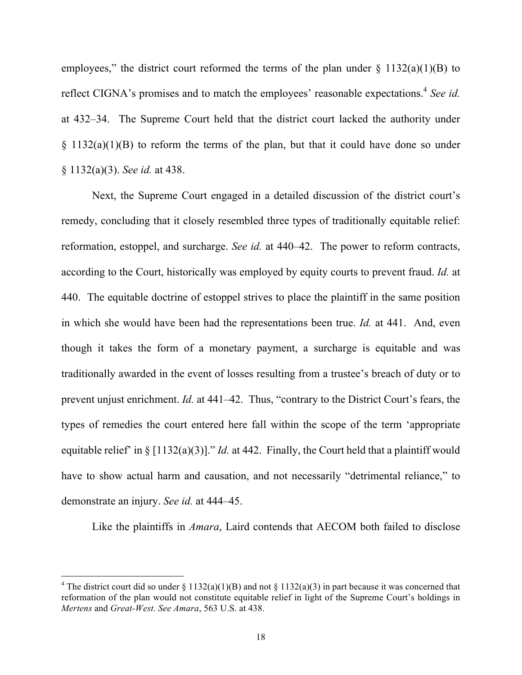employees," the district court reformed the terms of the plan under  $\S$  1132(a)(1)(B) to reflect CIGNA's promises and to match the employees' reasonable expectations.<sup>4</sup> See id. at 432–34. The Supreme Court held that the district court lacked the authority under  $\S$  1132(a)(1)(B) to reform the terms of the plan, but that it could have done so under § 1132(a)(3). *See id.* at 438.

Next, the Supreme Court engaged in a detailed discussion of the district court's remedy, concluding that it closely resembled three types of traditionally equitable relief: reformation, estoppel, and surcharge. *See id.* at 440–42. The power to reform contracts, according to the Court, historically was employed by equity courts to prevent fraud. *Id.* at 440. The equitable doctrine of estoppel strives to place the plaintiff in the same position in which she would have been had the representations been true. *Id.* at 441. And, even though it takes the form of a monetary payment, a surcharge is equitable and was traditionally awarded in the event of losses resulting from a trustee's breach of duty or to prevent unjust enrichment. *Id.* at 441–42. Thus, "contrary to the District Court's fears, the types of remedies the court entered here fall within the scope of the term 'appropriate equitable relief' in § [1132(a)(3)]." *Id.* at 442. Finally, the Court held that a plaintiff would have to show actual harm and causation, and not necessarily "detrimental reliance," to demonstrate an injury. *See id.* at 444–45.

Like the plaintiffs in *Amara*, Laird contends that AECOM both failed to disclose

<sup>&</sup>lt;sup>4</sup> The district court did so under § 1132(a)(1)(B) and not § 1132(a)(3) in part because it was concerned that reformation of the plan would not constitute equitable relief in light of the Supreme Court's holdings in *Mertens* and *Great-West*. *See Amara*, 563 U.S. at 438.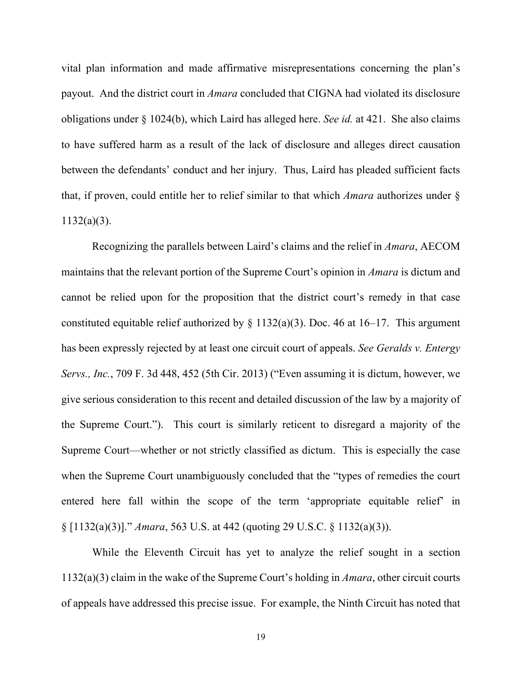vital plan information and made affirmative misrepresentations concerning the plan's payout. And the district court in *Amara* concluded that CIGNA had violated its disclosure obligations under § 1024(b), which Laird has alleged here. *See id.* at 421. She also claims to have suffered harm as a result of the lack of disclosure and alleges direct causation between the defendants' conduct and her injury. Thus, Laird has pleaded sufficient facts that, if proven, could entitle her to relief similar to that which *Amara* authorizes under § 1132(a)(3).

Recognizing the parallels between Laird's claims and the relief in *Amara*, AECOM maintains that the relevant portion of the Supreme Court's opinion in *Amara* is dictum and cannot be relied upon for the proposition that the district court's remedy in that case constituted equitable relief authorized by  $\S$  1132(a)(3). Doc. 46 at 16–17. This argument has been expressly rejected by at least one circuit court of appeals. *See Geralds v. Entergy Servs., Inc.*, 709 F. 3d 448, 452 (5th Cir. 2013) ("Even assuming it is dictum, however, we give serious consideration to this recent and detailed discussion of the law by a majority of the Supreme Court."). This court is similarly reticent to disregard a majority of the Supreme Court––whether or not strictly classified as dictum. This is especially the case when the Supreme Court unambiguously concluded that the "types of remedies the court entered here fall within the scope of the term 'appropriate equitable relief' in § [1132(a)(3)]." *Amara*, 563 U.S. at 442 (quoting 29 U.S.C. § 1132(a)(3)).

While the Eleventh Circuit has yet to analyze the relief sought in a section 1132(a)(3) claim in the wake of the Supreme Court's holding in *Amara*, other circuit courts of appeals have addressed this precise issue. For example, the Ninth Circuit has noted that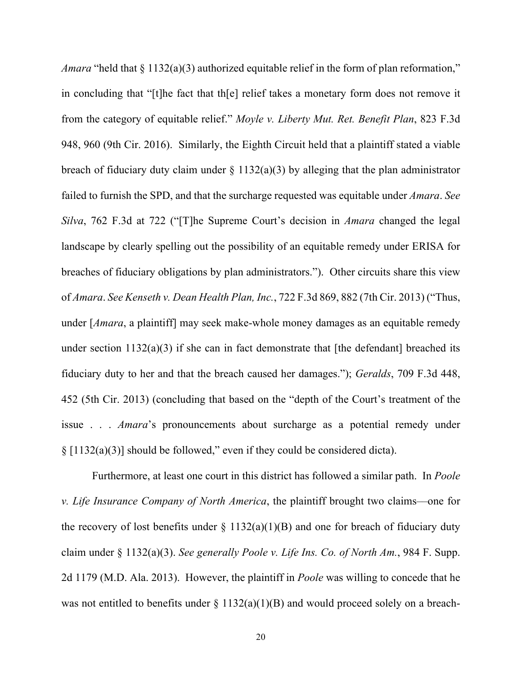*Amara* "held that § 1132(a)(3) authorized equitable relief in the form of plan reformation," in concluding that "[t]he fact that th[e] relief takes a monetary form does not remove it from the category of equitable relief." *Moyle v. Liberty Mut. Ret. Benefit Plan*, 823 F.3d 948, 960 (9th Cir. 2016). Similarly, the Eighth Circuit held that a plaintiff stated a viable breach of fiduciary duty claim under  $\S$  1132(a)(3) by alleging that the plan administrator failed to furnish the SPD, and that the surcharge requested was equitable under *Amara*. *See Silva*, 762 F.3d at 722 ("[T]he Supreme Court's decision in *Amara* changed the legal landscape by clearly spelling out the possibility of an equitable remedy under ERISA for breaches of fiduciary obligations by plan administrators."). Other circuits share this view of *Amara*. *See Kenseth v. Dean Health Plan, Inc.*, 722 F.3d 869, 882 (7th Cir. 2013) ("Thus, under [*Amara*, a plaintiff] may seek make-whole money damages as an equitable remedy under section  $1132(a)(3)$  if she can in fact demonstrate that [the defendant] breached its fiduciary duty to her and that the breach caused her damages."); *Geralds*, 709 F.3d 448, 452 (5th Cir. 2013) (concluding that based on the "depth of the Court's treatment of the issue . . . *Amara*'s pronouncements about surcharge as a potential remedy under § [1132(a)(3)] should be followed," even if they could be considered dicta).

Furthermore, at least one court in this district has followed a similar path. In *Poole v. Life Insurance Company of North America*, the plaintiff brought two claims––one for the recovery of lost benefits under  $\S$  1132(a)(1)(B) and one for breach of fiduciary duty claim under § 1132(a)(3). *See generally Poole v. Life Ins. Co. of North Am.*, 984 F. Supp. 2d 1179 (M.D. Ala. 2013). However, the plaintiff in *Poole* was willing to concede that he was not entitled to benefits under  $\S 1132(a)(1)(B)$  and would proceed solely on a breach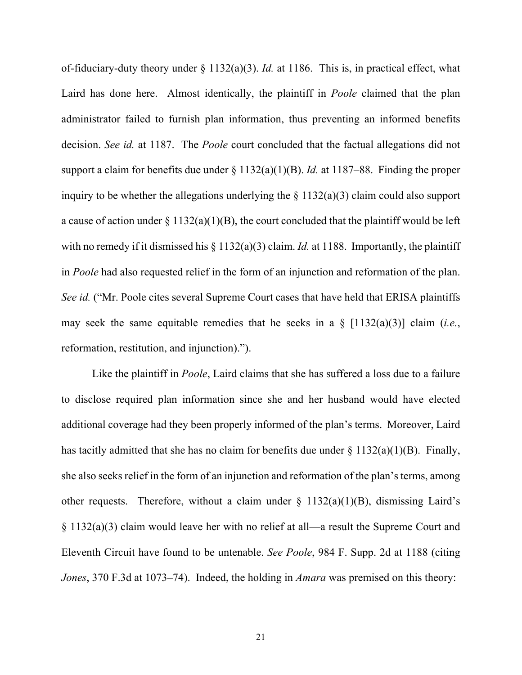of-fiduciary-duty theory under § 1132(a)(3). *Id.* at 1186. This is, in practical effect, what Laird has done here. Almost identically, the plaintiff in *Poole* claimed that the plan administrator failed to furnish plan information, thus preventing an informed benefits decision. *See id.* at 1187. The *Poole* court concluded that the factual allegations did not support a claim for benefits due under § 1132(a)(1)(B). *Id.* at 1187–88. Finding the proper inquiry to be whether the allegations underlying the  $\S 1132(a)(3)$  claim could also support a cause of action under  $\S 1132(a)(1)(B)$ , the court concluded that the plaintiff would be left with no remedy if it dismissed his  $\S 1132(a)(3)$  claim. *Id.* at 1188. Importantly, the plaintiff in *Poole* had also requested relief in the form of an injunction and reformation of the plan. *See id.* ("Mr. Poole cites several Supreme Court cases that have held that ERISA plaintiffs may seek the same equitable remedies that he seeks in a § [1132(a)(3)] claim (*i.e.*, reformation, restitution, and injunction).").

Like the plaintiff in *Poole*, Laird claims that she has suffered a loss due to a failure to disclose required plan information since she and her husband would have elected additional coverage had they been properly informed of the plan's terms. Moreover, Laird has tacitly admitted that she has no claim for benefits due under  $\S 1132(a)(1)(B)$ . Finally, she also seeks relief in the form of an injunction and reformation of the plan's terms, among other requests. Therefore, without a claim under  $\S$  1132(a)(1)(B), dismissing Laird's § 1132(a)(3) claim would leave her with no relief at all—a result the Supreme Court and Eleventh Circuit have found to be untenable. *See Poole*, 984 F. Supp. 2d at 1188 (citing *Jones*, 370 F.3d at 1073–74). Indeed, the holding in *Amara* was premised on this theory: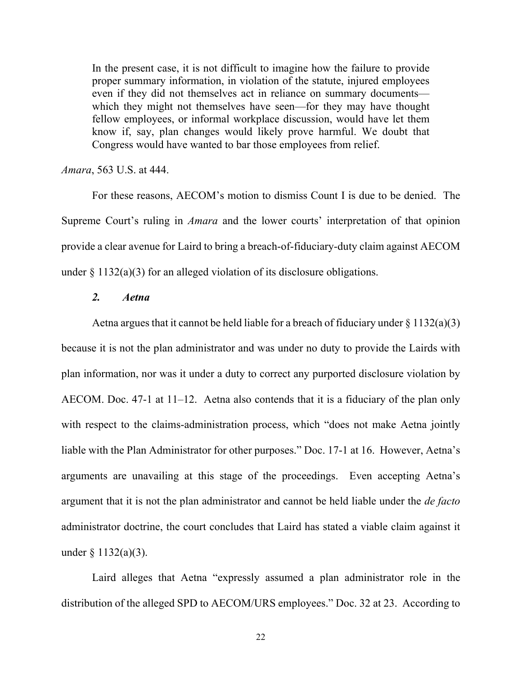In the present case, it is not difficult to imagine how the failure to provide proper summary information, in violation of the statute, injured employees even if they did not themselves act in reliance on summary documents which they might not themselves have seen—for they may have thought fellow employees, or informal workplace discussion, would have let them know if, say, plan changes would likely prove harmful. We doubt that Congress would have wanted to bar those employees from relief.

### *Amara*, 563 U.S. at 444.

For these reasons, AECOM's motion to dismiss Count I is due to be denied. The Supreme Court's ruling in *Amara* and the lower courts' interpretation of that opinion provide a clear avenue for Laird to bring a breach-of-fiduciary-duty claim against AECOM under  $\S 1132(a)(3)$  for an alleged violation of its disclosure obligations.

# *2. Aetna*

Aetna argues that it cannot be held liable for a breach of fiduciary under  $\S 1132(a)(3)$ because it is not the plan administrator and was under no duty to provide the Lairds with plan information, nor was it under a duty to correct any purported disclosure violation by AECOM. Doc. 47-1 at 11–12. Aetna also contends that it is a fiduciary of the plan only with respect to the claims-administration process, which "does not make Aetna jointly liable with the Plan Administrator for other purposes." Doc. 17-1 at 16. However, Aetna's arguments are unavailing at this stage of the proceedings. Even accepting Aetna's argument that it is not the plan administrator and cannot be held liable under the *de facto* administrator doctrine, the court concludes that Laird has stated a viable claim against it under  $\S 1132(a)(3)$ .

Laird alleges that Aetna "expressly assumed a plan administrator role in the distribution of the alleged SPD to AECOM/URS employees." Doc. 32 at 23. According to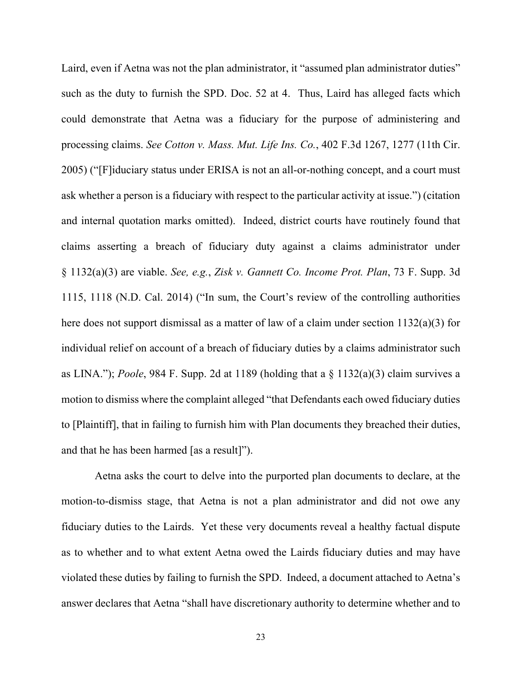Laird, even if Aetna was not the plan administrator, it "assumed plan administrator duties" such as the duty to furnish the SPD. Doc. 52 at 4. Thus, Laird has alleged facts which could demonstrate that Aetna was a fiduciary for the purpose of administering and processing claims. *See Cotton v. Mass. Mut. Life Ins. Co.*, 402 F.3d 1267, 1277 (11th Cir. 2005) ("[F]iduciary status under ERISA is not an all-or-nothing concept, and a court must ask whether a person is a fiduciary with respect to the particular activity at issue.") (citation and internal quotation marks omitted). Indeed, district courts have routinely found that claims asserting a breach of fiduciary duty against a claims administrator under § 1132(a)(3) are viable. *See, e.g.*, *Zisk v. Gannett Co. Income Prot. Plan*, 73 F. Supp. 3d 1115, 1118 (N.D. Cal. 2014) ("In sum, the Court's review of the controlling authorities here does not support dismissal as a matter of law of a claim under section 1132(a)(3) for individual relief on account of a breach of fiduciary duties by a claims administrator such as LINA."); *Poole*, 984 F. Supp. 2d at 1189 (holding that a § 1132(a)(3) claim survives a motion to dismiss where the complaint alleged "that Defendants each owed fiduciary duties to [Plaintiff], that in failing to furnish him with Plan documents they breached their duties, and that he has been harmed [as a result]").

Aetna asks the court to delve into the purported plan documents to declare, at the motion-to-dismiss stage, that Aetna is not a plan administrator and did not owe any fiduciary duties to the Lairds. Yet these very documents reveal a healthy factual dispute as to whether and to what extent Aetna owed the Lairds fiduciary duties and may have violated these duties by failing to furnish the SPD. Indeed, a document attached to Aetna's answer declares that Aetna "shall have discretionary authority to determine whether and to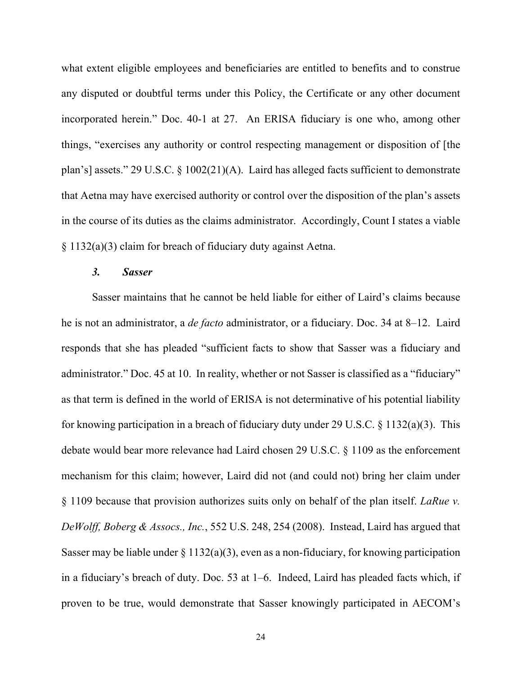what extent eligible employees and beneficiaries are entitled to benefits and to construe any disputed or doubtful terms under this Policy, the Certificate or any other document incorporated herein." Doc. 40-1 at 27. An ERISA fiduciary is one who, among other things, "exercises any authority or control respecting management or disposition of [the plan's] assets." 29 U.S.C. § 1002(21)(A). Laird has alleged facts sufficient to demonstrate that Aetna may have exercised authority or control over the disposition of the plan's assets in the course of its duties as the claims administrator. Accordingly, Count I states a viable § 1132(a)(3) claim for breach of fiduciary duty against Aetna.

### *3. Sasser*

Sasser maintains that he cannot be held liable for either of Laird's claims because he is not an administrator, a *de facto* administrator, or a fiduciary. Doc. 34 at 8–12. Laird responds that she has pleaded "sufficient facts to show that Sasser was a fiduciary and administrator." Doc. 45 at 10. In reality, whether or not Sasser is classified as a "fiduciary" as that term is defined in the world of ERISA is not determinative of his potential liability for knowing participation in a breach of fiduciary duty under 29 U.S.C. § 1132(a)(3). This debate would bear more relevance had Laird chosen 29 U.S.C. § 1109 as the enforcement mechanism for this claim; however, Laird did not (and could not) bring her claim under § 1109 because that provision authorizes suits only on behalf of the plan itself. *LaRue v. DeWolff, Boberg & Assocs., Inc.*, 552 U.S. 248, 254 (2008). Instead, Laird has argued that Sasser may be liable under  $\S 1132(a)(3)$ , even as a non-fiduciary, for knowing participation in a fiduciary's breach of duty. Doc. 53 at 1–6. Indeed, Laird has pleaded facts which, if proven to be true, would demonstrate that Sasser knowingly participated in AECOM's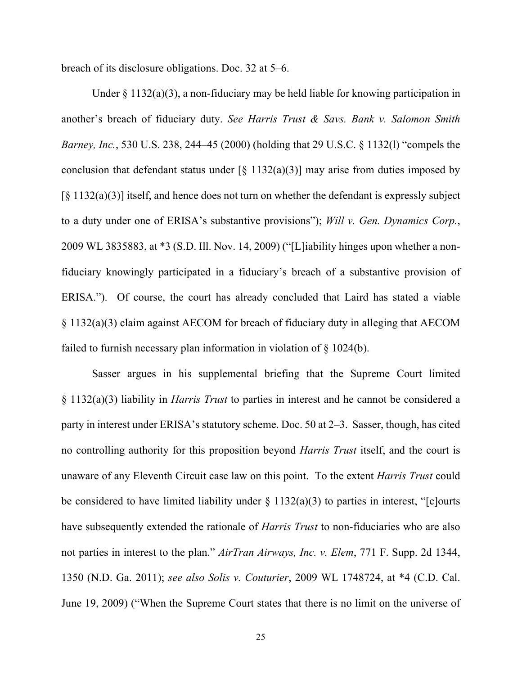breach of its disclosure obligations. Doc. 32 at 5–6.

Under  $\S 1132(a)(3)$ , a non-fiduciary may be held liable for knowing participation in another's breach of fiduciary duty. *See Harris Trust & Savs. Bank v. Salomon Smith Barney, Inc.*, 530 U.S. 238, 244–45 (2000) (holding that 29 U.S.C. § 1132(l) "compels the conclusion that defendant status under  $\lceil \xi \cdot 1132(a)(3) \rceil$  may arise from duties imposed by [§ 1132(a)(3)] itself, and hence does not turn on whether the defendant is expressly subject to a duty under one of ERISA's substantive provisions"); *Will v. Gen. Dynamics Corp.*, 2009 WL 3835883, at \*3 (S.D. Ill. Nov. 14, 2009) ("[L]iability hinges upon whether a nonfiduciary knowingly participated in a fiduciary's breach of a substantive provision of ERISA."). Of course, the court has already concluded that Laird has stated a viable § 1132(a)(3) claim against AECOM for breach of fiduciary duty in alleging that AECOM failed to furnish necessary plan information in violation of § 1024(b).

Sasser argues in his supplemental briefing that the Supreme Court limited § 1132(a)(3) liability in *Harris Trust* to parties in interest and he cannot be considered a party in interest under ERISA's statutory scheme. Doc. 50 at 2–3. Sasser, though, has cited no controlling authority for this proposition beyond *Harris Trust* itself, and the court is unaware of any Eleventh Circuit case law on this point. To the extent *Harris Trust* could be considered to have limited liability under  $\S 1132(a)(3)$  to parties in interest, "[c]ourts have subsequently extended the rationale of *Harris Trust* to non-fiduciaries who are also not parties in interest to the plan." *AirTran Airways, Inc. v. Elem*, 771 F. Supp. 2d 1344, 1350 (N.D. Ga. 2011); *see also Solis v. Couturier*, 2009 WL 1748724, at \*4 (C.D. Cal. June 19, 2009) ("When the Supreme Court states that there is no limit on the universe of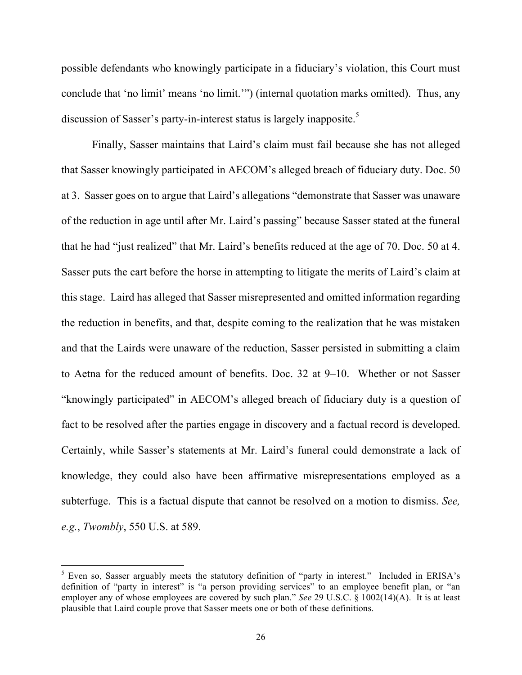possible defendants who knowingly participate in a fiduciary's violation, this Court must conclude that 'no limit' means 'no limit.'") (internal quotation marks omitted). Thus, any discussion of Sasser's party-in-interest status is largely inapposite.<sup>5</sup>

Finally, Sasser maintains that Laird's claim must fail because she has not alleged that Sasser knowingly participated in AECOM's alleged breach of fiduciary duty. Doc. 50 at 3. Sasser goes on to argue that Laird's allegations "demonstrate that Sasser was unaware of the reduction in age until after Mr. Laird's passing" because Sasser stated at the funeral that he had "just realized" that Mr. Laird's benefits reduced at the age of 70. Doc. 50 at 4. Sasser puts the cart before the horse in attempting to litigate the merits of Laird's claim at this stage. Laird has alleged that Sasser misrepresented and omitted information regarding the reduction in benefits, and that, despite coming to the realization that he was mistaken and that the Lairds were unaware of the reduction, Sasser persisted in submitting a claim to Aetna for the reduced amount of benefits. Doc. 32 at 9–10. Whether or not Sasser "knowingly participated" in AECOM's alleged breach of fiduciary duty is a question of fact to be resolved after the parties engage in discovery and a factual record is developed. Certainly, while Sasser's statements at Mr. Laird's funeral could demonstrate a lack of knowledge, they could also have been affirmative misrepresentations employed as a subterfuge. This is a factual dispute that cannot be resolved on a motion to dismiss. *See, e.g.*, *Twombly*, 550 U.S. at 589.

<sup>&</sup>lt;sup>5</sup> Even so, Sasser arguably meets the statutory definition of "party in interest." Included in ERISA's definition of "party in interest" is "a person providing services" to an employee benefit plan, or "an employer any of whose employees are covered by such plan." *See* 29 U.S.C. § 1002(14)(A). It is at least plausible that Laird couple prove that Sasser meets one or both of these definitions.